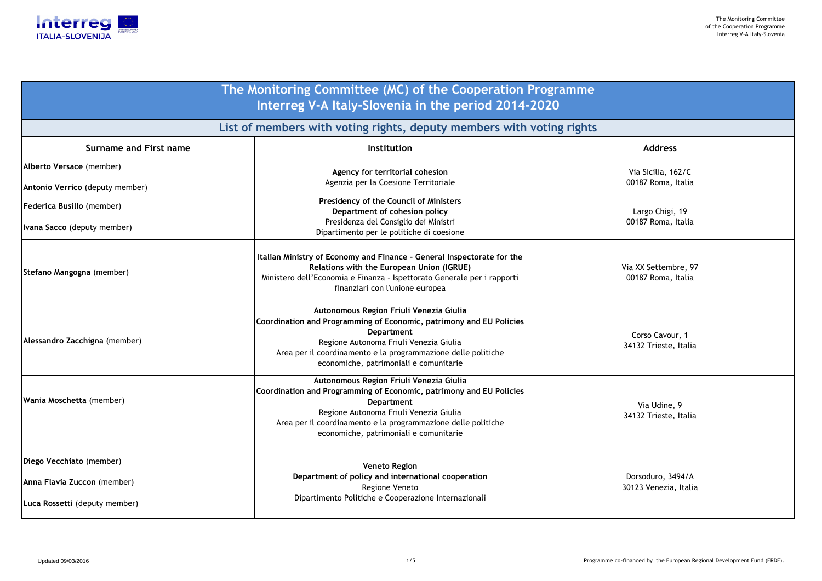Via Sicilia, 162/C00187 Roma, Italia

Largo Chigi, 1900187 Roma, Italia

Via XX Settembre, 97 00187 Roma, Italia

| <b>Surname and First name</b>                                                            | Institution                                                                                                                                                                                                                                                                              |  |
|------------------------------------------------------------------------------------------|------------------------------------------------------------------------------------------------------------------------------------------------------------------------------------------------------------------------------------------------------------------------------------------|--|
| Alberto Versace (member)                                                                 | Agency for territorial cohesion                                                                                                                                                                                                                                                          |  |
| Antonio Verrico (deputy member)                                                          | Agenzia per la Coesione Territoriale                                                                                                                                                                                                                                                     |  |
| <b>Federica Busillo (member)</b>                                                         | <b>Presidency of the Council of Ministers</b><br>Department of cohesion policy                                                                                                                                                                                                           |  |
| <b>Ivana Sacco</b> (deputy member)                                                       | Presidenza del Consiglio dei Ministri<br>Dipartimento per le politiche di coesione                                                                                                                                                                                                       |  |
| Stefano Mangogna (member)                                                                | Italian Ministry of Economy and Finance - General Inspectorate for the<br>Relations with the European Union (IGRUE)<br>Ministero dell'Economia e Finanza - Ispettorato Generale per i rapporti<br>finanziari con l'unione europea                                                        |  |
| Alessandro Zacchigna (member)                                                            | Autonomous Region Friuli Venezia Giulia<br>Coordination and Programming of Economic, patrimony and EU Policies<br><b>Department</b><br>Regione Autonoma Friuli Venezia Giulia<br>Area per il coordinamento e la programmazione delle politiche<br>economiche, patrimoniali e comunitarie |  |
| Wania Moschetta (member)                                                                 | Autonomous Region Friuli Venezia Giulia<br>Coordination and Programming of Economic, patrimony and EU Policies<br><b>Department</b><br>Regione Autonoma Friuli Venezia Giulia<br>Area per il coordinamento e la programmazione delle politiche<br>economiche, patrimoniali e comunitarie |  |
| Diego Vecchiato (member)<br>Anna Flavia Zuccon (member)<br>Luca Rossetti (deputy member) | <b>Veneto Region</b><br>Department of policy and international cooperation<br>Regione Veneto<br>Dipartimento Politiche e Cooperazione Internazionali                                                                                                                                     |  |

Corso Cavour, 134132 Trieste, Italia

Via Udine, 934132 Trieste, Italia

Dorsoduro, 3494/A30123 Venezia, Italia



# **The Monitoring Committee (MC) of the Cooperation Programme Interreg V-A Italy-Slovenia in the period 2014-2020**

**List of members with voting rights, deputy members with voting rights**

## **Address**

1/5 Programme co-financed by the European Regional Development Fund (ERDF).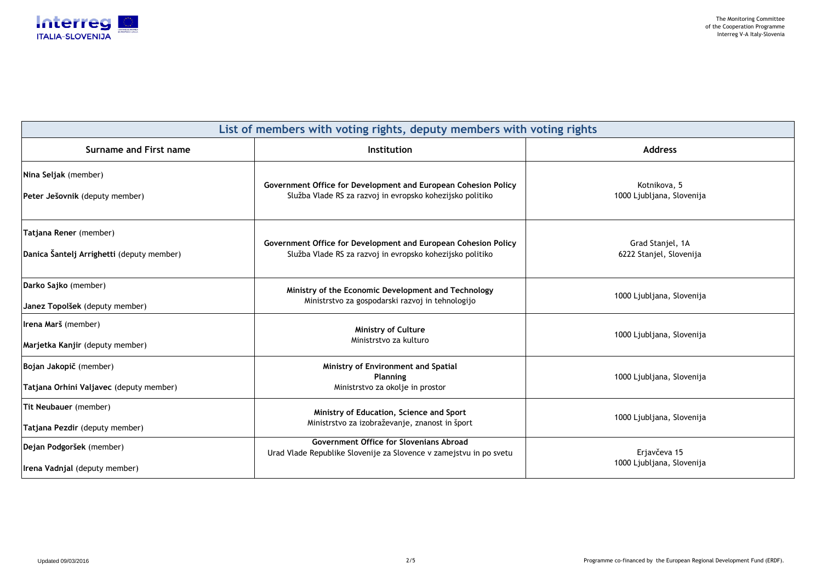Kotnikova, 5 1000 Ljubljana, Slovenija

Grad Stanjel, 1A6222 Stanjel, Slovenija

000 Ljubljana, Slovenija



| List of members with voting rights, deputy members with voting rights |                                                                                                                      |                     |  |
|-----------------------------------------------------------------------|----------------------------------------------------------------------------------------------------------------------|---------------------|--|
| Surname and First name                                                | <b>Institution</b>                                                                                                   | <b>Address</b>      |  |
| Nina Seljak (member)                                                  | Government Office for Development and European Cohesion Policy                                                       | Kotnikova,          |  |
| Peter Ješovnik (deputy member)                                        | Služba Vlade RS za razvoj in evropsko kohezijsko politiko                                                            | 1000 Ljubljana, S   |  |
| Tatjana Rener (member)                                                | Government Office for Development and European Cohesion Policy                                                       | <b>Grad Stanjel</b> |  |
| Danica Šantelj Arrighetti (deputy member)                             | Služba Vlade RS za razvoj in evropsko kohezijsko politiko                                                            | 6222 Stanjel, Slo   |  |
| Darko Sajko (member)                                                  | Ministry of the Economic Development and Technology                                                                  | 1000 Ljubljana, S   |  |
| Janez Topolšek (deputy member)                                        | Ministrstvo za gospodarski razvoj in tehnologijo                                                                     |                     |  |
| Irena Marš (member)                                                   | <b>Ministry of Culture</b>                                                                                           | 1000 Ljubljana, S   |  |
| Marjetka Kanjir (deputy member)                                       | Ministrstvo za kulturo                                                                                               |                     |  |
| Bojan Jakopič (member)                                                | Ministry of Environment and Spatial<br><b>Planning</b>                                                               | 1000 Ljubljana, S   |  |
| Tatjana Orhini Valjavec (deputy member)                               | Ministrstvo za okolje in prostor                                                                                     |                     |  |
| <b>Tit Neubauer</b> (member)                                          | Ministry of Education, Science and Sport                                                                             | 1000 Ljubljana, S   |  |
| Tatjana Pezdir (deputy member)                                        | Ministrstvo za izobraževanje, znanost in šport                                                                       |                     |  |
| Dejan Podgoršek (member)                                              | <b>Government Office for Slovenians Abroad</b><br>Urad Vlade Republike Slovenije za Slovence v zamejstvu in po svetu | Erjavčeva           |  |
| Irena Vadnjal (deputy member)                                         |                                                                                                                      | 1000 Ljubljana, S   |  |

1000 Ljubljana, Slovenija

1000 Ljubljana, Slovenija

1000 Ljubljana, Slovenija

 Erjavčeva 15 1000 Ljubljana, Slovenija

2/5 Programme co-financed by the European Regional Development Fund (ERDF).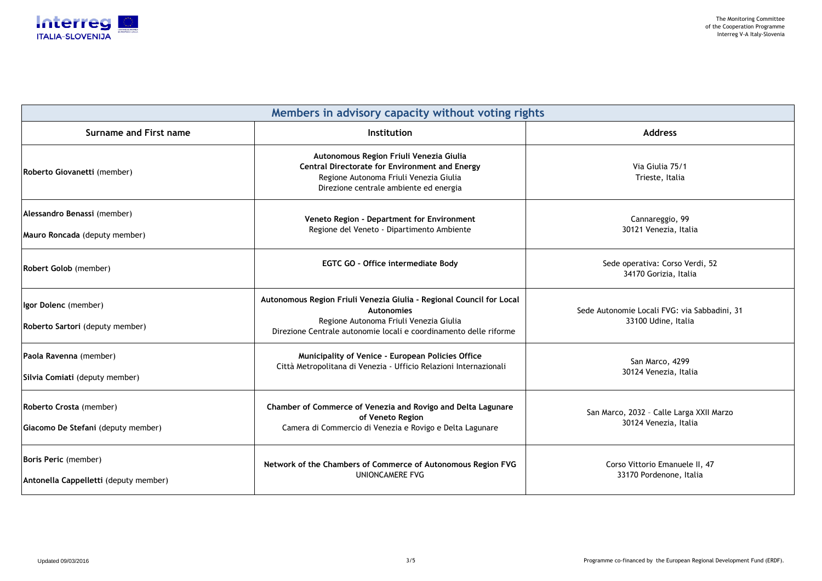omie Locali FVG: via Sabbadini, 31 33100 Udine, Italia

co, 2032 - Calle Larga XXII Marzo 30124 Venezia, Italia



| Members in advisory capacity without voting rights                   |                                                                                                                                                                                                          |                                                               |  |
|----------------------------------------------------------------------|----------------------------------------------------------------------------------------------------------------------------------------------------------------------------------------------------------|---------------------------------------------------------------|--|
| <b>Surname and First name</b>                                        | Institution                                                                                                                                                                                              | <b>Address</b>                                                |  |
| Roberto Giovanetti (member)                                          | Autonomous Region Friuli Venezia Giulia<br><b>Central Directorate for Environment and Energy</b><br>Regione Autonoma Friuli Venezia Giulia<br>Direzione centrale ambiente ed energia                     | Via Giulia 75/1<br>Trieste, Italia                            |  |
| Alessandro Benassi (member)<br>Mauro Roncada (deputy member)         | Veneto Region - Department for Environment<br>Regione del Veneto - Dipartimento Ambiente                                                                                                                 | Cannareggio, 99<br>30121 Venezia, Italia                      |  |
| Robert Golob (member)                                                | <b>EGTC GO - Office intermediate Body</b>                                                                                                                                                                | Sede operativa: Corso Verdi, 52<br>34170 Gorizia, Italia      |  |
| Igor Dolenc (member)<br>Roberto Sartori (deputy member)              | Autonomous Region Friuli Venezia Giulia - Regional Council for Local<br><b>Autonomies</b><br>Regione Autonoma Friuli Venezia Giulia<br>Direzione Centrale autonomie locali e coordinamento delle riforme | Sede Autonomie Locali FVG: via Sabba<br>33100 Udine, Italia   |  |
| Paola Ravenna (member)<br>Silvia Comiati (deputy member)             | <b>Municipality of Venice - European Policies Office</b><br>Città Metropolitana di Venezia - Ufficio Relazioni Internazionali                                                                            | San Marco, 4299<br>30124 Venezia, Italia                      |  |
| Roberto Crosta (member)<br>Giacomo De Stefani (deputy member)        | Chamber of Commerce of Venezia and Rovigo and Delta Lagunare<br>of Veneto Region<br>Camera di Commercio di Venezia e Rovigo e Delta Lagunare                                                             | San Marco, 2032 - Calle Larga XXII M<br>30124 Venezia, Italia |  |
| <b>Boris Peric</b> (member)<br>Antonella Cappelletti (deputy member) | Network of the Chambers of Commerce of Autonomous Region FVG<br><b>UNIONCAMERE FVG</b>                                                                                                                   | Corso Vittorio Emanuele II, 47<br>33170 Pordenone, Italia     |  |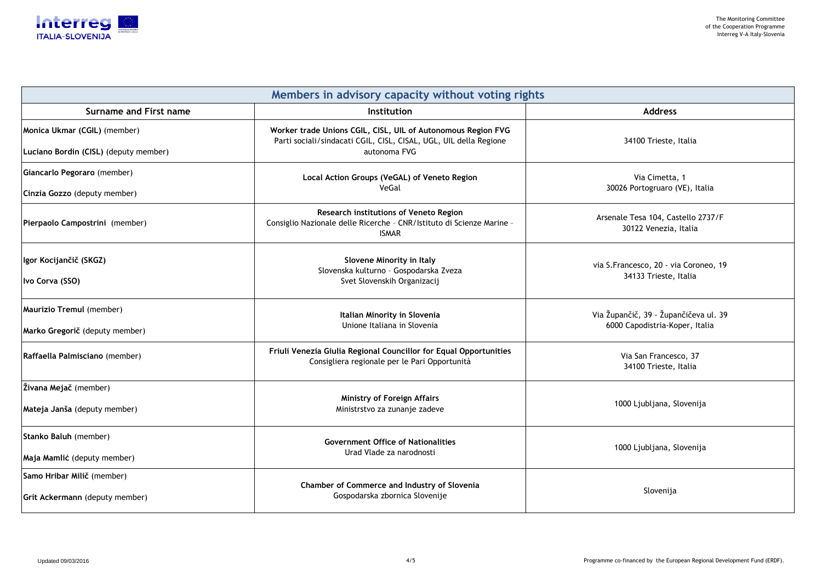

| Members in advisory capacity without voting rights |                                                                                                                                        |                                         |  |
|----------------------------------------------------|----------------------------------------------------------------------------------------------------------------------------------------|-----------------------------------------|--|
| <b>Surname and First name</b>                      | <b>Institution</b>                                                                                                                     | <b>Address</b>                          |  |
| Monica Ukmar (CGIL) (member)                       | Worker trade Unions CGIL, CISL, UIL of Autonomous Region FVG<br>Parti sociali/sindacati CGIL, CISL, CISAL, UGL, UIL della Regione      | 34100 Trieste,                          |  |
| Luciano Bordin (CISL) (deputy member)              | autonoma FVG                                                                                                                           |                                         |  |
| Giancarlo Pegoraro (member)                        | Local Action Groups (VeGAL) of Veneto Region                                                                                           | Via Cimetta                             |  |
| Cinzia Gozzo (deputy member)                       | VeGal                                                                                                                                  | 30026 Portogruaro                       |  |
| Pierpaolo Campostrini (member)                     | <b>Research institutions of Veneto Region</b><br>Consiglio Nazionale delle Ricerche - CNR/Istituto di Scienze Marine -<br><b>ISMAR</b> | Arsenale Tesa 104, Ca<br>30122 Venezia, |  |
| Igor Kocijančič (SKGZ)                             | <b>Slovene Minority in Italy</b><br>Slovenska kulturno - Gospodarska Zveza                                                             | via S.Francesco, 20 - vi                |  |
| Ivo Corva (SSO)                                    | Svet Slovenskih Organizacij                                                                                                            | 34133 Trieste,                          |  |
| Maurizio Tremul (member)                           | <b>Italian Minority in Slovenia</b>                                                                                                    | Via Župančič, 39 - Župa                 |  |
| Marko Gregorič (deputy member)                     | Unione Italiana in Slovenia                                                                                                            | 6000 Capodistria-Ko                     |  |
| Raffaella Palmisciano (member)                     | Friuli Venezia Giulia Regional Councillor for Equal Opportunities<br>Consigliera regionale per le Pari Opportunità                     | Via San Frances<br>34100 Trieste,       |  |
| <b>Živana Mejač</b> (member)                       |                                                                                                                                        |                                         |  |
| Mateja Janša (deputy member)                       | <b>Ministry of Foreign Affairs</b><br>Ministrstvo za zunanje zadeve                                                                    | 1000 Ljubljana, S                       |  |
| Stanko Baluh (member)                              | <b>Government Office of Nationalities</b>                                                                                              | 1000 Ljubljana, S                       |  |
| Maja Mamlić (deputy member)                        | Urad Vlade za narodnosti                                                                                                               |                                         |  |
| Samo Hribar Milič (member)                         | Chamber of Commerce and Industry of Slovenia                                                                                           |                                         |  |
| <b>Grit Ackermann</b> (deputy member)              | Gospodarska zbornica Slovenije                                                                                                         | Slovenija                               |  |

- 34100 Trieste, Italia
- Via Cimetta, 1 30026 Portogruaro (VE), Italia
	- ale Tesa 104, Castello 2737/F 30122 Venezia, Italia
	- rancesco, 20 via Coroneo, 19 34133 Trieste, Italia
	- Via Župančič, 39 Župančičeva ul. 3900 Capodistria-Koper, Italia
	- Via San Francesco, 37 34100 Trieste, Italia
	- 1000 Ljubljana, Slovenija
	- 1000 Ljubljana, Slovenija